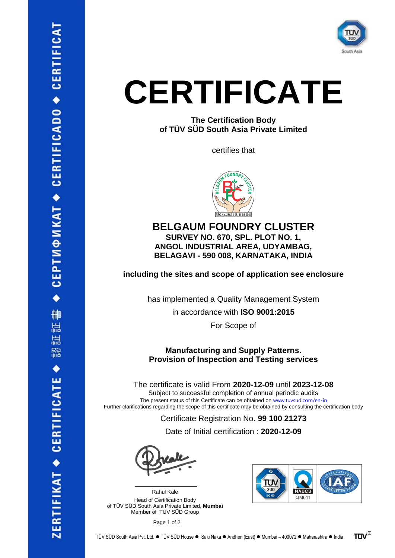

# **CERTIFICATE**

**The Certification Body of TÜV SÜD South Asia Private Limited**

certifies that



**BELGAUM FOUNDRY CLUSTER SURVEY NO. 670, SPL. PLOT NO. 1, ANGOL INDUSTRIAL AREA, UDYAMBAG, BELAGAVI - 590 008, KARNATAKA, INDIA**

**including the sites and scope of application see enclosure**

has implemented a Quality Management System

in accordance with **ISO 9001:2015**

For Scope of

**Manufacturing and Supply Patterns. Provision of Inspection and Testing services**

The certificate is valid From **2020-12-09** until **2023-12-08** Subject to successful completion of annual periodic audits The present status of this Certificate can be obtained on [www.tuvsud.com/en-in](https://www.tuvsud.com/en-in) Further clarifications regarding the scope of this certificate may be obtained by consulting the certification body

Certificate Registration No. **99 100 21273**

Date of Initial certification : **2020-12-09**

 $\mathcal{L}=\mathcal{L}^{\mathcal{L}}$  , where  $\mathcal{L}^{\mathcal{L}}$  , we have the set of the set of the set of the set of the set of the set of the set of the set of the set of the set of the set of the set of the set of the set of the set of

Rahul Kale Head of Certification Body of TÜV SÜD South Asia Private Limited, **Mumbai** Member of TÜV SÜD Group





**TUV®**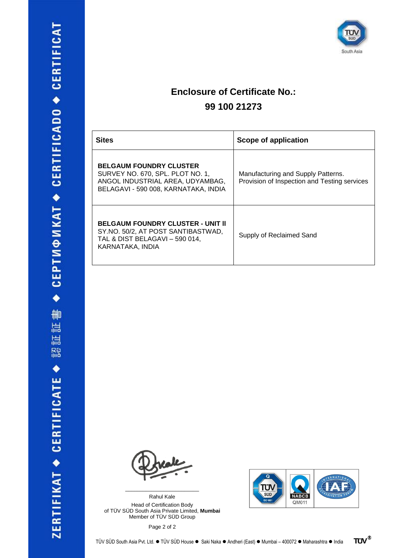

### **Enclosure of Certificate No.: 99 100 21273**

| <b>Sites</b>                                                                                                                                   | Scope of application                                                               |
|------------------------------------------------------------------------------------------------------------------------------------------------|------------------------------------------------------------------------------------|
| <b>BELGAUM FOUNDRY CLUSTER</b><br>SURVEY NO. 670, SPL. PLOT NO. 1,<br>ANGOL INDUSTRIAL AREA, UDYAMBAG,<br>BELAGAVI - 590 008, KARNATAKA, INDIA | Manufacturing and Supply Patterns.<br>Provision of Inspection and Testing services |
| <b>BELGAUM FOUNDRY CLUSTER - UNIT II</b><br>SY.NO. 50/2, AT POST SANTIBASTWAD,<br>TAL & DIST BELAGAVI - 590 014,<br>KARNATAKA. INDIA           | Supply of Reclaimed Sand                                                           |

\_\_\_\_\_\_\_\_\_\_\_\_\_\_\_\_\_\_\_\_\_\_\_\_\_

Rahul Kale Head of Certification Body of TÜV SÜD South Asia Private Limited, **Mumbai** Member of TÜV SÜD Group

Page 2 of 2

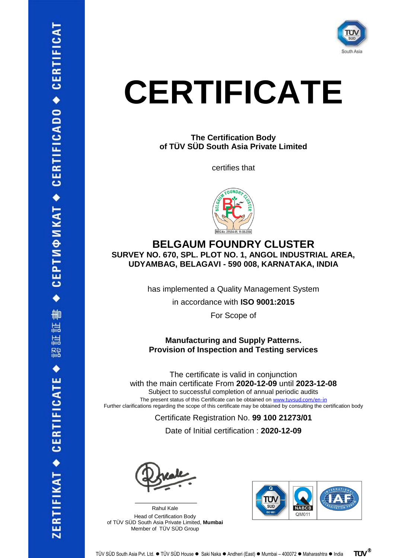

## **CERTIFICATE**

#### **The Certification Body of TÜV SÜD South Asia Private Limited**

certifies that



### **BELGAUM FOUNDRY CLUSTER SURVEY NO. 670, SPL. PLOT NO. 1, ANGOL INDUSTRIAL AREA, UDYAMBAG, BELAGAVI - 590 008, KARNATAKA, INDIA**

has implemented a Quality Management System

in accordance with **ISO 9001:2015**

For Scope of

#### **Manufacturing and Supply Patterns. Provision of Inspection and Testing services**

The certificate is valid in conjunction with the main certificate From **2020-12-09** until **2023-12-08** Subject to successful completion of annual periodic audits The present status of this Certificate can be obtained on [www.tuvsud.com/en-in](https://www.tuvsud.com/en-in) Further clarifications regarding the scope of this certificate may be obtained by consulting the certification body

Certificate Registration No. **99 100 21273/01**

Date of Initial certification : **2020-12-09**

Rahul Kale Head of Certification Body of TÜV SÜD South Asia Private Limited, **Mumbai** Member of TÜV SÜD Group

 $\mathcal{L}$  , and the set of the set of the set of the set of the set of the set of the set of the set of the set of the set of the set of the set of the set of the set of the set of the set of the set of the set of the set



 $TUV^{\circledast}$